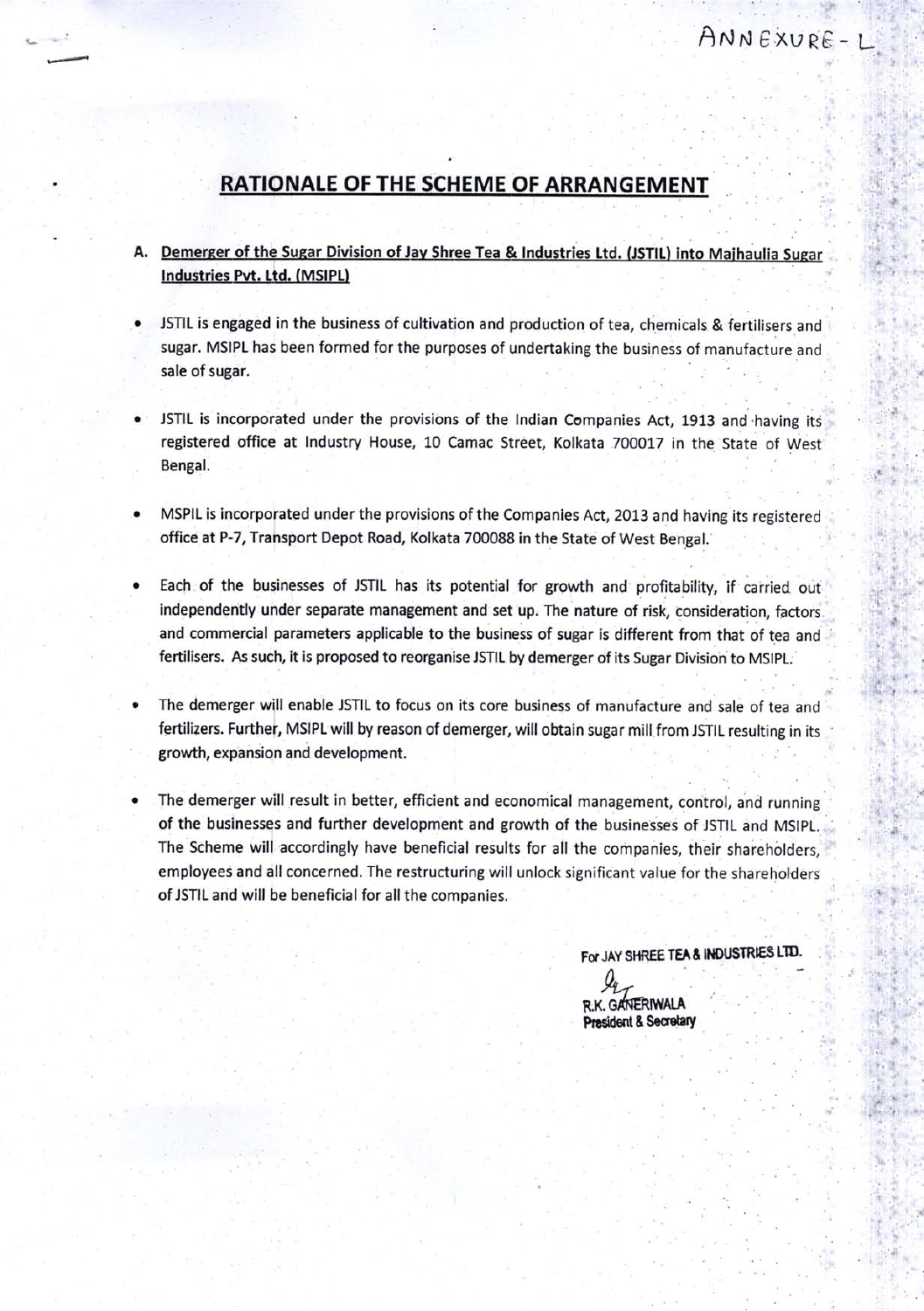## RATIONALE OF THE SCHEME OF ARRANGEMENT

## A. Demerger of the Sugar Division of Jay Shree Tea & Industries Ltd. (JSTIL) into Majhaulia Sugar Industries Pvt. Ltd. (MSIPL)

- JSTIL is engaged in the business of cultivation and production of tea, chemicals & fertilisers and sugar. MSIPL has been formed for the purposes of undertaking the business of manufacture and sale of sugar.
- JSTIL is incorporated under the provisions of the Indian Companies Act, 1913 and having its registered office at Industry House, 10 Camac Street, Kolkata 700017 in the State of West Bengal.
- MSPIL is incorporated under the provisions of the Companies Act, 2013 and having its registered office at P-7, Transport Depot Road, Kolkata 700088 in the State of West Bengal.
- Each of the businesses of JSTIL has its potential for growth and profitability, if carried out independently under separate management and set up. The nature of risk, consideration, factors. and commercial parameters applicable to the business of sugar is different from that of tea and fertilisers. As such, it is proposed to reorganise JSTIL by demerger of its Sugar Division to MSIPL;
- The demerger will enable JSTIL to focus on its core business of manufacture and sale of tea and fertilizers. Further, MSIPL will by reason of demerger, will obtain sugar mill from JSTIL resulting in its growth, expansion and development.
- The demerger will result in better, efficient and economical management, control, and running of the businesses and further development and growth of the businesses of JSTIL and MSlpL. The Scheme will accordingly have beneficial results for all the companies, their shareholders, employees and all concerned. The restructuring will unlock significant value for the shareholders of JSTIL and will be beneficial for all the companies.

For JAY SHREE TEA & INDUSTRIES LTD.

A  $\mathcal{Q}_4$ R.K. GANERIWALA Prasident & Secretary